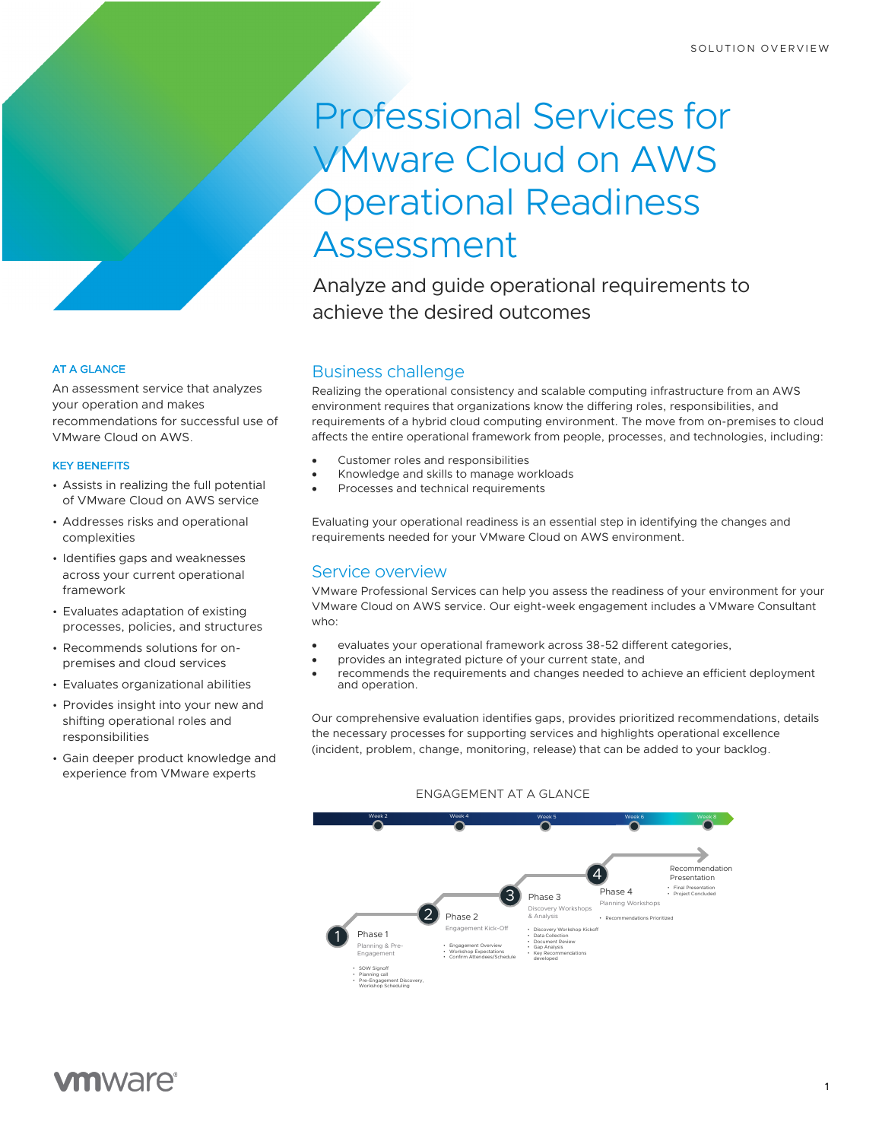# Professional Services for VMware Cloud on AWS Operational Readiness Assessment

Analyze and guide operational requirements to achieve the desired outcomes

## Business challenge

Realizing the operational consistency and scalable computing infrastructure from an AWS environment requires that organizations know the differing roles, responsibilities, and requirements of a hybrid cloud computing environment. The move from on-premises to cloud affects the entire operational framework from people, processes, and technologies, including:

- Customer roles and responsibilities
- Knowledge and skills to manage workloads
- Processes and technical requirements

Evaluating your operational readiness is an essential step in identifying the changes and requirements needed for your VMware Cloud on AWS environment.

## Service overview

VMware Professional Services can help you assess the readiness of your environment for your VMware Cloud on AWS service. Our eight-week engagement includes a VMware Consultant who:

- evaluates your operational framework across 38-52 different categories,
- provides an integrated picture of your current state, and
- recommends the requirements and changes needed to achieve an efficient deployment and operation.

Our comprehensive evaluation identifies gaps, provides prioritized recommendations, details the necessary processes for supporting services and highlights operational excellence (incident, problem, change, monitoring, release) that can be added to your backlog.

### ENGAGEMENT AT A GLANCE



## AT A GLANCE

An assessment service that analyzes your operation and makes recommendations for successful use of VMware Cloud on AWS.

#### KEY BENEFITS

- Assists in realizing the full potential of VMware Cloud on AWS service
- Addresses risks and operational complexities
- Identifies gaps and weaknesses across your current operational framework
- Evaluates adaptation of existing processes, policies, and structures
- Recommends solutions for onpremises and cloud services
- Evaluates organizational abilities
- Provides insight into your new and shifting operational roles and responsibilities
- Gain deeper product knowledge and experience from VMware experts